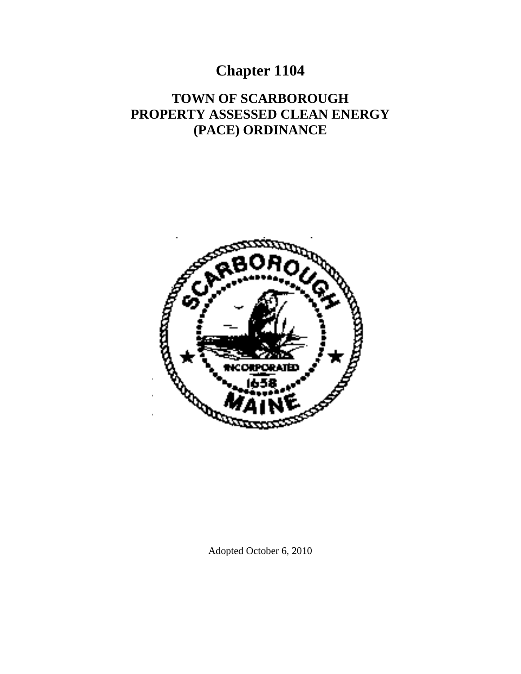# **Chapter 1104**

# **TOWN OF SCARBOROUGH PROPERTY ASSESSED CLEAN ENERGY (PACE) ORDINANCE**



Adopted October 6, 2010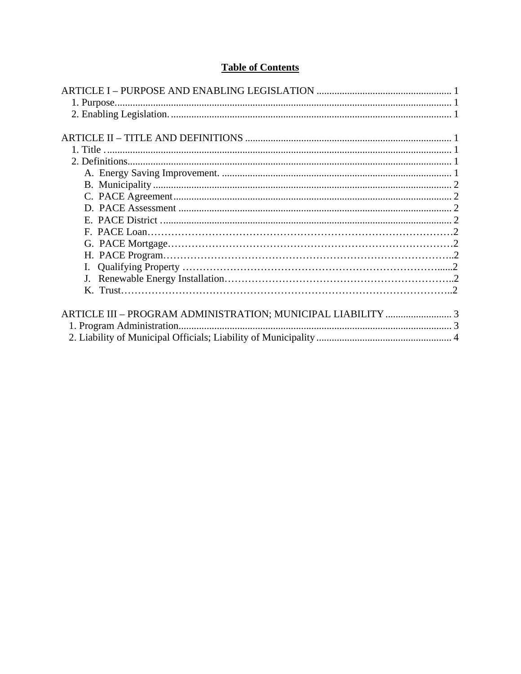# **Table of Contents**

| ARTICLE III - PROGRAM ADMINISTRATION; MUNICIPAL LIABILITY  3 |  |
|--------------------------------------------------------------|--|
|                                                              |  |
|                                                              |  |
|                                                              |  |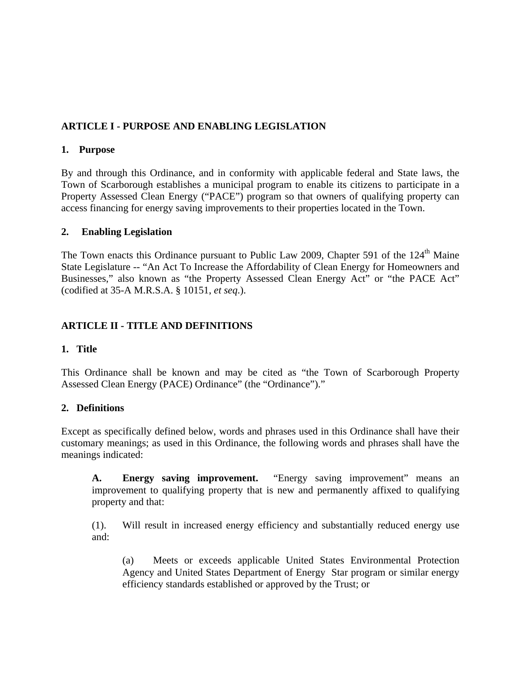# **ARTICLE I - PURPOSE AND ENABLING LEGISLATION**

#### **1. Purpose**

By and through this Ordinance, and in conformity with applicable federal and State laws, the Town of Scarborough establishes a municipal program to enable its citizens to participate in a Property Assessed Clean Energy ("PACE") program so that owners of qualifying property can access financing for energy saving improvements to their properties located in the Town.

## **2. Enabling Legislation**

The Town enacts this Ordinance pursuant to Public Law 2009, Chapter 591 of the 124<sup>th</sup> Maine State Legislature -- "An Act To Increase the Affordability of Clean Energy for Homeowners and Businesses," also known as "the Property Assessed Clean Energy Act" or "the PACE Act" (codified at 35-A M.R.S.A. § 10151, *et seq*.).

# **ARTICLE II - TITLE AND DEFINITIONS**

## **1. Title**

This Ordinance shall be known and may be cited as "the Town of Scarborough Property Assessed Clean Energy (PACE) Ordinance" (the "Ordinance")."

## **2. Definitions**

Except as specifically defined below, words and phrases used in this Ordinance shall have their customary meanings; as used in this Ordinance, the following words and phrases shall have the meanings indicated:

**A. Energy saving improvement.** "Energy saving improvement" means an improvement to qualifying property that is new and permanently affixed to qualifying property and that:

 (1). Will result in increased energy efficiency and substantially reduced energy use and:

 (a) Meets or exceeds applicable United States Environmental Protection Agency and United States Department of Energy Star program or similar energy efficiency standards established or approved by the Trust; or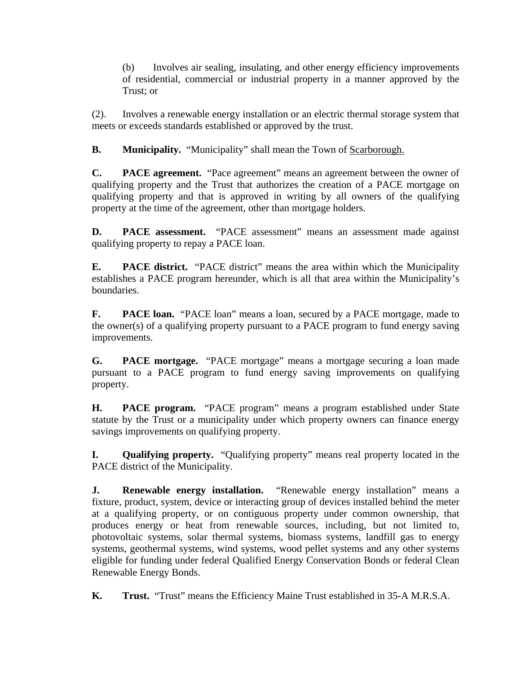(b) Involves air sealing, insulating, and other energy efficiency improvements of residential, commercial or industrial property in a manner approved by the Trust; or

 (2). Involves a renewable energy installation or an electric thermal storage system that meets or exceeds standards established or approved by the trust.

**B.** Municipality. "Municipality" shall mean the Town of <u>Scarborough.</u>

**C. PACE agreement.** "Pace agreement" means an agreement between the owner of qualifying property and the Trust that authorizes the creation of a PACE mortgage on qualifying property and that is approved in writing by all owners of the qualifying property at the time of the agreement, other than mortgage holders.

**D. PACE assessment.** "PACE assessment" means an assessment made against qualifying property to repay a PACE loan.

**E. PACE district.** "PACE district" means the area within which the Municipality establishes a PACE program hereunder, which is all that area within the Municipality's boundaries.

**F. PACE loan.** "PACE loan" means a loan, secured by a PACE mortgage, made to the owner(s) of a qualifying property pursuant to a PACE program to fund energy saving improvements.

**G. PACE mortgage.** "PACE mortgage" means a mortgage securing a loan made pursuant to a PACE program to fund energy saving improvements on qualifying property.

 **H. PACE program.** "PACE program" means a program established under State statute by the Trust or a municipality under which property owners can finance energy savings improvements on qualifying property.

**I. Qualifying property.** "Qualifying property" means real property located in the PACE district of the Municipality.

**J. Renewable energy installation.** "Renewable energy installation" means a fixture, product, system, device or interacting group of devices installed behind the meter at a qualifying property, or on contiguous property under common ownership, that produces energy or heat from renewable sources, including, but not limited to, photovoltaic systems, solar thermal systems, biomass systems, landfill gas to energy systems, geothermal systems, wind systems, wood pellet systems and any other systems eligible for funding under federal Qualified Energy Conservation Bonds or federal Clean Renewable Energy Bonds.

**K. Trust.** "Trust" means the Efficiency Maine Trust established in 35-A M.R.S.A.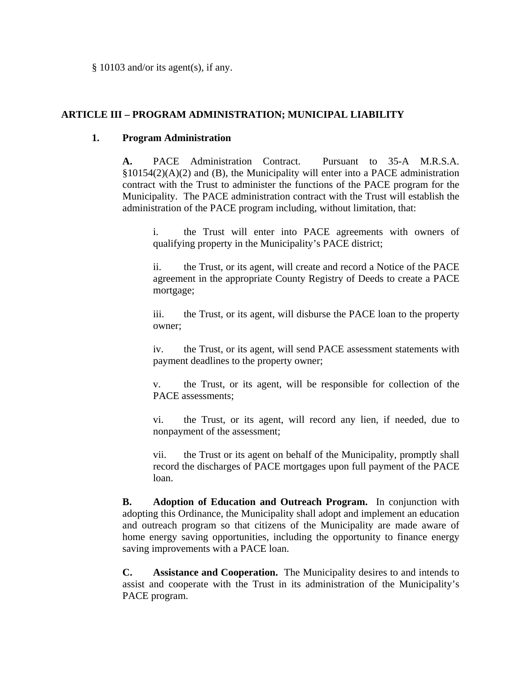§ 10103 and/or its agent(s), if any.

#### **ARTICLE III – PROGRAM ADMINISTRATION; MUNICIPAL LIABILITY**

#### **1. Program Administration**

**A.** PACE Administration Contract. Pursuant to 35-A M.R.S.A. §10154(2)(A)(2) and (B), the Municipality will enter into a PACE administration contract with the Trust to administer the functions of the PACE program for the Municipality. The PACE administration contract with the Trust will establish the administration of the PACE program including, without limitation, that:

 i. the Trust will enter into PACE agreements with owners of qualifying property in the Municipality's PACE district;

 ii. the Trust, or its agent, will create and record a Notice of the PACE agreement in the appropriate County Registry of Deeds to create a PACE mortgage;

 iii. the Trust, or its agent, will disburse the PACE loan to the property owner;

 iv. the Trust, or its agent, will send PACE assessment statements with payment deadlines to the property owner;

 v. the Trust, or its agent, will be responsible for collection of the PACE assessments;

 vi. the Trust, or its agent, will record any lien, if needed, due to nonpayment of the assessment;

 vii. the Trust or its agent on behalf of the Municipality, promptly shall record the discharges of PACE mortgages upon full payment of the PACE loan.

**B. Adoption of Education and Outreach Program.** In conjunction with adopting this Ordinance, the Municipality shall adopt and implement an education and outreach program so that citizens of the Municipality are made aware of home energy saving opportunities, including the opportunity to finance energy saving improvements with a PACE loan.

**C. Assistance and Cooperation.** The Municipality desires to and intends to assist and cooperate with the Trust in its administration of the Municipality's PACE program.